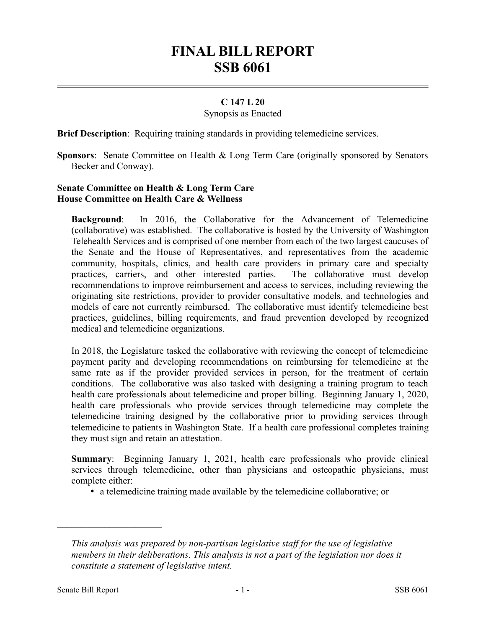# **FINAL BILL REPORT SSB 6061**

### **C 147 L 20**

#### Synopsis as Enacted

**Brief Description**: Requiring training standards in providing telemedicine services.

**Sponsors**: Senate Committee on Health & Long Term Care (originally sponsored by Senators Becker and Conway).

## **Senate Committee on Health & Long Term Care House Committee on Health Care & Wellness**

**Background**: In 2016, the Collaborative for the Advancement of Telemedicine (collaborative) was established. The collaborative is hosted by the University of Washington Telehealth Services and is comprised of one member from each of the two largest caucuses of the Senate and the House of Representatives, and representatives from the academic community, hospitals, clinics, and health care providers in primary care and specialty practices, carriers, and other interested parties. The collaborative must develop recommendations to improve reimbursement and access to services, including reviewing the originating site restrictions, provider to provider consultative models, and technologies and models of care not currently reimbursed. The collaborative must identify telemedicine best practices, guidelines, billing requirements, and fraud prevention developed by recognized medical and telemedicine organizations.

In 2018, the Legislature tasked the collaborative with reviewing the concept of telemedicine payment parity and developing recommendations on reimbursing for telemedicine at the same rate as if the provider provided services in person, for the treatment of certain conditions. The collaborative was also tasked with designing a training program to teach health care professionals about telemedicine and proper billing. Beginning January 1, 2020, health care professionals who provide services through telemedicine may complete the telemedicine training designed by the collaborative prior to providing services through telemedicine to patients in Washington State. If a health care professional completes training they must sign and retain an attestation.

**Summary**: Beginning January 1, 2021, health care professionals who provide clinical services through telemedicine, other than physicians and osteopathic physicians, must complete either:

a telemedicine training made available by the telemedicine collaborative; or

––––––––––––––––––––––

*This analysis was prepared by non-partisan legislative staff for the use of legislative members in their deliberations. This analysis is not a part of the legislation nor does it constitute a statement of legislative intent.*